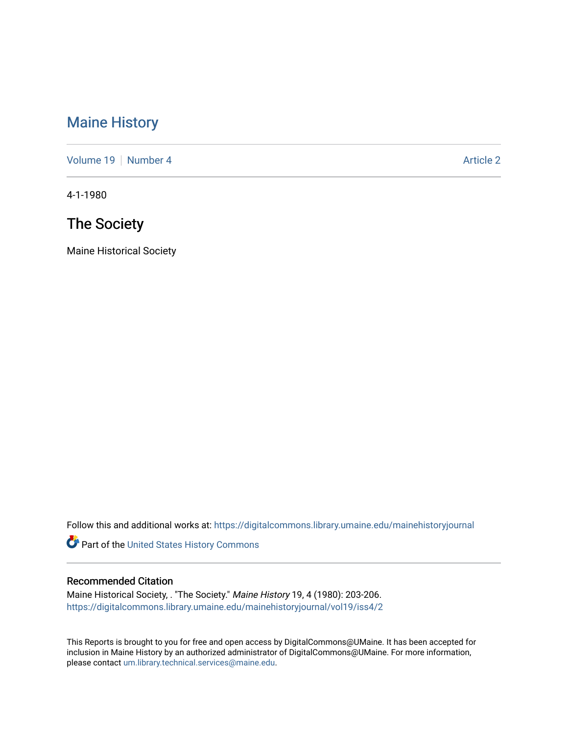## [Maine History](https://digitalcommons.library.umaine.edu/mainehistoryjournal)

[Volume 19](https://digitalcommons.library.umaine.edu/mainehistoryjournal/vol19) [Number 4](https://digitalcommons.library.umaine.edu/mainehistoryjournal/vol19/iss4) Article 2

4-1-1980

# The Society

Maine Historical Society

Follow this and additional works at: [https://digitalcommons.library.umaine.edu/mainehistoryjournal](https://digitalcommons.library.umaine.edu/mainehistoryjournal?utm_source=digitalcommons.library.umaine.edu%2Fmainehistoryjournal%2Fvol19%2Fiss4%2F2&utm_medium=PDF&utm_campaign=PDFCoverPages) 

Part of the [United States History Commons](http://network.bepress.com/hgg/discipline/495?utm_source=digitalcommons.library.umaine.edu%2Fmainehistoryjournal%2Fvol19%2Fiss4%2F2&utm_medium=PDF&utm_campaign=PDFCoverPages) 

#### Recommended Citation

Maine Historical Society, . "The Society." Maine History 19, 4 (1980): 203-206. [https://digitalcommons.library.umaine.edu/mainehistoryjournal/vol19/iss4/2](https://digitalcommons.library.umaine.edu/mainehistoryjournal/vol19/iss4/2?utm_source=digitalcommons.library.umaine.edu%2Fmainehistoryjournal%2Fvol19%2Fiss4%2F2&utm_medium=PDF&utm_campaign=PDFCoverPages)

This Reports is brought to you for free and open access by DigitalCommons@UMaine. It has been accepted for inclusion in Maine History by an authorized administrator of DigitalCommons@UMaine. For more information, please contact [um.library.technical.services@maine.edu.](mailto:um.library.technical.services@maine.edu)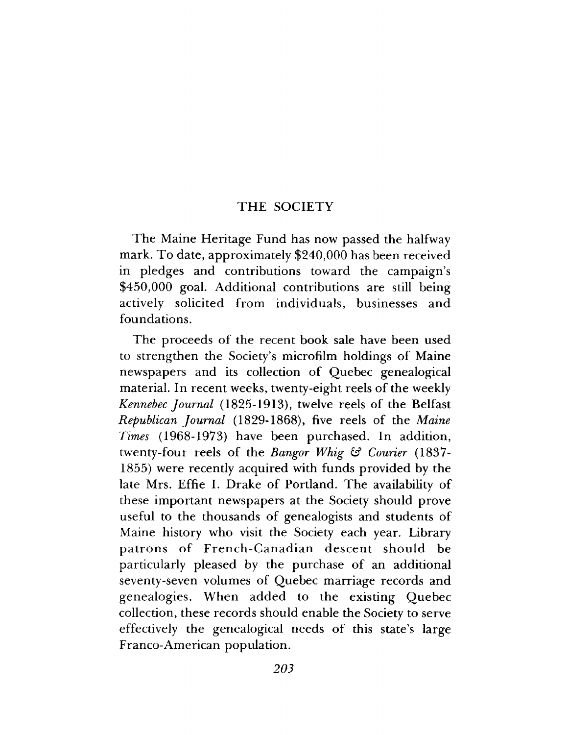### THE SOCIETY

The Maine Heritage Fund has now passed the halfway mark. To date, approximately  $$240,000$  has been received in pledges and contributions toward the campaign's \$450,000 goal. Additional contributions are still being actively solicited from individuals, businesses and foundations.

The proceeds of the recent book sale have been used to strengthen the Society's microfilm holdings of Maine newspapers and its collection of Quebec genealogical material. In recent weeks, twenty-eight reels of the weekly *Kennebec Journal* (1825-1913), twelve reels of the Belfast *Republican Journal* (1829-1868), five reels of the *Maine Times* (1968-1973) have been purchased. In addition, twenty-four reels of the *Bangor Whig* & *Courier* (1837-1855) were recently acquired with funds provided by the late Mrs. Effie I. Drake of Portland. The availability of these im portant newspapers at the Society should prove useful to the thousands of genealogists and students of Maine history who visit the Society each year. Library patrons of French-Canadian descent should be particularly pleased by the purchase of an additional seventy-seven volumes of Quebec marriage records and genealogies. W hen added to the existing Q uebec collection, these records should enable the Society to serve effectively the genealogical needs of this state's large Franco-American population.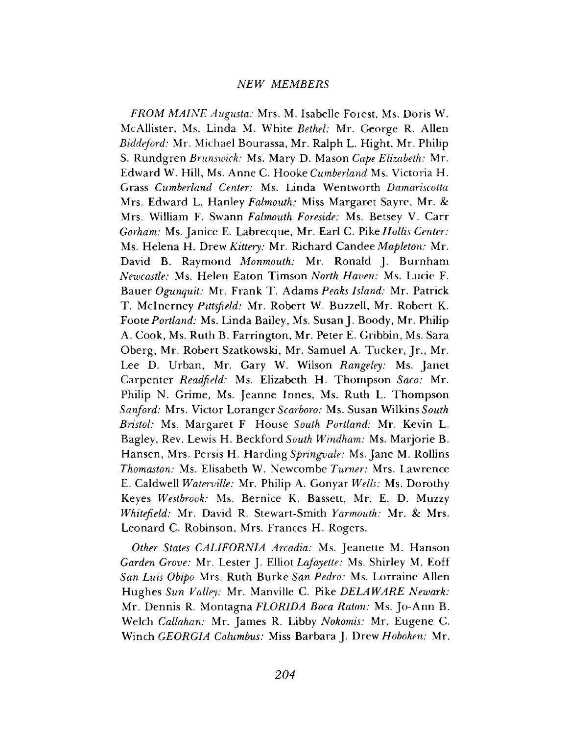#### *NEW MEMBERS*

*FROM MAINE Augusta:* Mrs. M. Isabelle Forest, Ms, Doris W. McAllister, Ms. Linda M. White *Bethel:* Mr. George R. Allen *Biddeford:* Mr. Michael Bourassa, Mr. Ralph L. Hight, Mr. Philip S. Rundgren *Brunswick:* Ms. Mary D. Mason *Cape Elizabeth:* Mr. Edward W. Hill, Ms. Anne C. Hooke *Cumberland* Ms. Victoria H. Grass *Cumberland Center:* Ms. Linda Wentworth *Damariscotta* Mrs. Edward L. Hanley *Falmouth:* Miss Margaret Sayre, Mr. *8c* Mrs. William F. Swann *Falmouth Foreside:* Ms. Betsey V. Carr *Gorham:* Ms. Janice E. Labrecque, Mr. Earl C. Pik*e Hollis Center:* Ms. Helena H. Drew *Kittery:* Mr. Richard Candee *Mapleton:* Mr. David B. Raymond *Monmouth:* Mr. Ronald J. Burnham *Newcastle:* Ms. Helen Eaton Timson *North Haven:* Ms. Lucie F. Bauer *Ogunquit:* Mr. Frank T. Adams *Peaks Island:* Mr. Patrick T. Mclnerney *Pittsfield:* Mr. Robert W. Buzzell, Mr. Robert K. Foote *Portland:* Ms. Linda Bailey, Ms. Susan J. Boody, Mr. Philip A. Cook, Ms. Ruth B. Farrington, Mr. Peter E. Gribbin, Ms. Sara Oberg, Mr. Robert Szatkowski, Mr. Samuel A. Tucker, Jr., Mr. Lee D. Urban, Mr. Gary W. Wilson *Rangeley:* Ms. Janet Carpenter *Readfield:* Ms. Elizabeth H. Thompson *Saco:* Mr. Philip N. Grime, Ms. Jeanne Innes, Ms. Ruth L. Thompson *Sanford:* Mrs. Victor Loranger *Scarboro:* Ms. Susan Wilkins *South Bristol:* Ms. Margaret F House *South Portland:* Mr. Kevin L. Bagley, Rev. Lewis H. Beckford South Windham: Ms. Marjorie B. Hansen, Mrs. Persis H. Harding *Springvale:* Ms. Jane M. Rollins *Thomaston:* Ms. Elisabeth W. Newcombe *Turner:* Mrs. Lawrence E. Caldwell *Waterville:* Mr. Philip A. Gonyar *Wells:* Ms. Dorothy Keyes *Westbrook:* Ms. Bernice K. Bassett, Mr. E. D. Muzzy *Whitefield:* Mr. David R. Stewart-Smith *Yarmouth:* Mr. *8c* Mrs. Leonard C. Robinson, Mrs. Frances H. Rogers.

*Other States CALIFORNIA Arcadia:* Ms. Jeanette M. Hanson *Garden Grove:* Mr. Lester J. Elliot *Lafayette:* Ms. Shirley M. Eoff *San Luis Obipo* Mrs. Ruth Burke *San Pedro:* Ms. Lorraine Allen Hughes *Sun Valley:* Mr. Manville C. Pike *DELAWARE Newark:* Mr. Dennis R. Montagna *FLORIDA Boca Raton:* Ms. Jo-Ann B. Welch *Callahan:* Mr. James R. Libby *Nokomis:* Mr. Eugene C. Winch *GEORGIA Columbus:* Miss Barbara J. Drew *Hoboken:* Mr.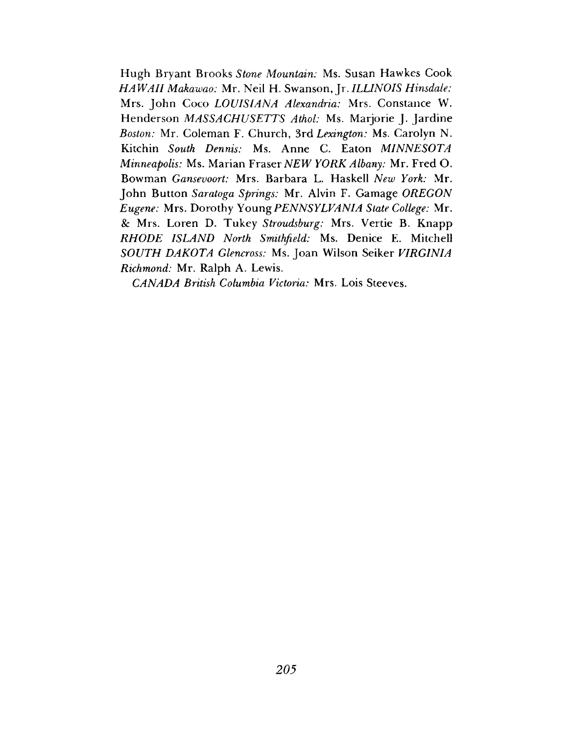Hugh Bryant Brooks *Stone Mountain:* Ms. Susan Hawkes Cook *HAWAII Makawao:* Mr. Neil H. Swanson, Jr. *ILLINOIS Hinsdale:* Mrs. John Coco *LOUISIANA Alexandria:* Mrs. Constance W. Henderson *MASSACHUSETTS Athol:* Ms. Marjorie J. Jardine *Boston:* Mr. Coleman F. Church, 3rd *Lexington:* Ms. Carolyn N. Kitchin *South Dennis:* Ms. Anne C. Eaton *MINNESOTA Minneapolis:* Ms. Marian Fraser *NEW YORK Albany:* Mr. Fred O. Bowman *Gansevoort:* Mrs. Barbara L. Haskell *New York:* Mr. John Button *Saratoga Springs:* Mr. Alvin F. Gamage *OREGON Eugene:* Mrs. Dorothy *Young PENNSYLVANIA State College:* Mr. & Mrs. Loren D. Tukey *Stroudsburg:* Mrs. Vertie B. Knapp *RHODE ISLAND North Smithfield:* Ms. Denice E. Mitchell *SOUTH DAKOTA Glencross:* Ms. Joan Wilson Seiker *VIRGINIA Richmond:* Mr. Ralph A. Lewis.

*CANADA British Columbia Victoria:* Mrs. Lois Steeves.